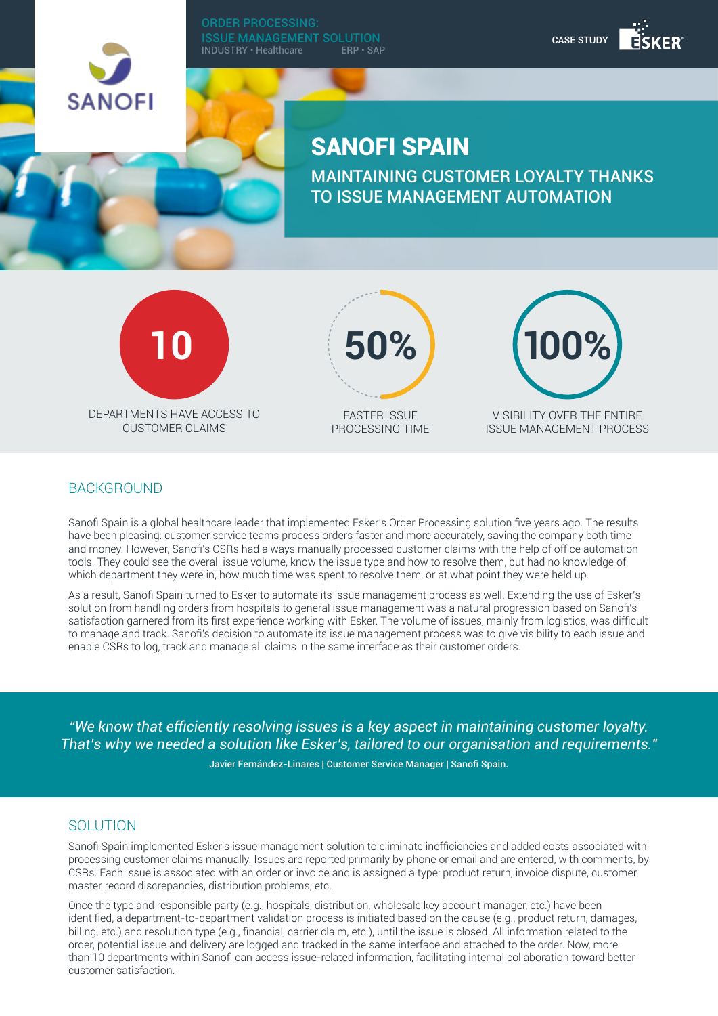

ORDER PROCESSING: **ISSUE MANAGEMENT SOLUTION**<br>INDUSTRY • Healthcare FRP • SAP  $INDUSTRY \cdot Healthcare$ 

# SANOFI SPAIN

MAINTAINING CUSTOMER LOYALTY THANKS TO ISSUE MANAGEMENT AUTOMATION



CUSTOMER CLAIMS



FASTER ISSUE PROCESSING TIME



CASE STUDY

VISIBILITY OVER THE ENTIRE ISSUE MANAGEMENT PROCESS

### **BACKGROUND**

Sanofi Spain is a global healthcare leader that implemented Esker's Order Processing solution five years ago. The results have been pleasing: customer service teams process orders faster and more accurately, saving the company both time and money. However, Sanofi's CSRs had always manually processed customer claims with the help of office automation tools. They could see the overall issue volume, know the issue type and how to resolve them, but had no knowledge of which department they were in, how much time was spent to resolve them, or at what point they were held up.

As a result, Sanofi Spain turned to Esker to automate its issue management process as well. Extending the use of Esker's solution from handling orders from hospitals to general issue management was a natural progression based on Sanofi's satisfaction garnered from its first experience working with Esker. The volume of issues, mainly from logistics, was difficult to manage and track. Sanofi's decision to automate its issue management process was to give visibility to each issue and enable CSRs to log, track and manage all claims in the same interface as their customer orders.

*"We know that efficiently resolving issues is a key aspect in maintaining customer loyalty. That's why we needed a solution like Esker's, tailored to our organisation and requirements."*

Javier Fernández-Linares | Customer Service Manager | Sanofi Spain.

#### **SOLUTION**

Sanofi Spain implemented Esker's issue management solution to eliminate inefficiencies and added costs associated with processing customer claims manually. Issues are reported primarily by phone or email and are entered, with comments, by CSRs. Each issue is associated with an order or invoice and is assigned a type: product return, invoice dispute, customer master record discrepancies, distribution problems, etc.

Once the type and responsible party (e.g., hospitals, distribution, wholesale key account manager, etc.) have been identified, a department-to-department validation process is initiated based on the cause (e.g., product return, damages, billing, etc.) and resolution type (e.g., financial, carrier claim, etc.), until the issue is closed. All information related to the order, potential issue and delivery are logged and tracked in the same interface and attached to the order. Now, more than 10 departments within Sanofi can access issue-related information, facilitating internal collaboration toward better customer satisfaction.